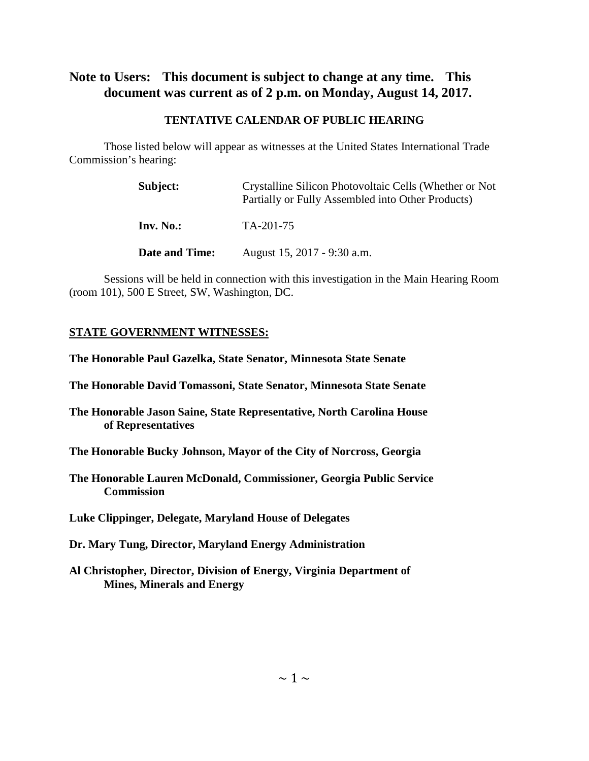## **Note to Users: This document is subject to change at any time. This document was current as of 2 p.m. on Monday, August 14, 2017.**

#### **TENTATIVE CALENDAR OF PUBLIC HEARING**

Those listed below will appear as witnesses at the United States International Trade Commission's hearing:

| Subject:       | Crystalline Silicon Photovoltaic Cells (Whether or Not)<br>Partially or Fully Assembled into Other Products) |  |
|----------------|--------------------------------------------------------------------------------------------------------------|--|
| $Inv. No.$ :   | TA-201-75                                                                                                    |  |
| Date and Time: | August 15, 2017 - 9:30 a.m.                                                                                  |  |

Sessions will be held in connection with this investigation in the Main Hearing Room (room 101), 500 E Street, SW, Washington, DC.

### **STATE GOVERNMENT WITNESSES:**

**The Honorable Paul Gazelka, State Senator, Minnesota State Senate**

**The Honorable David Tomassoni, State Senator, Minnesota State Senate**

**The Honorable Jason Saine, State Representative, North Carolina House of Representatives**

**The Honorable Bucky Johnson, Mayor of the City of Norcross, Georgia**

**The Honorable Lauren McDonald, Commissioner, Georgia Public Service Commission**

**Luke Clippinger, Delegate, Maryland House of Delegates**

**Dr. Mary Tung, Director, Maryland Energy Administration**

**Al Christopher, Director, Division of Energy, Virginia Department of Mines, Minerals and Energy**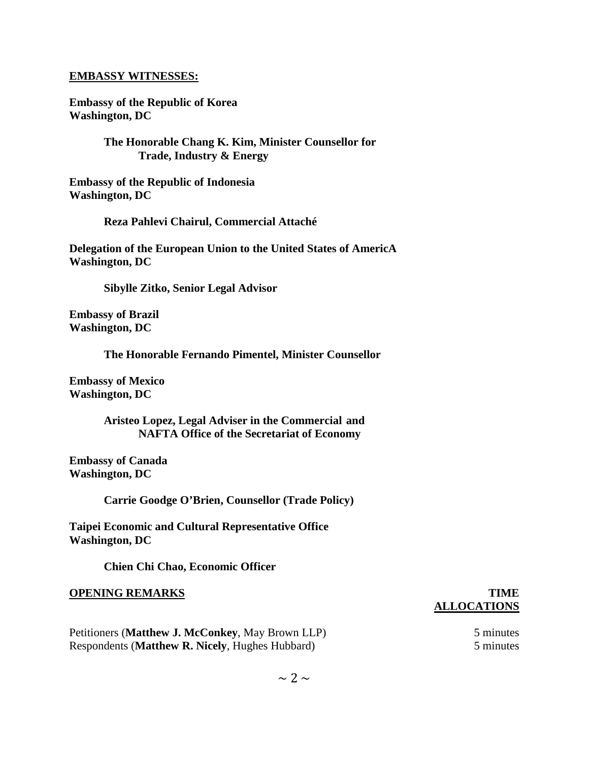#### **EMBASSY WITNESSES:**

**Embassy of the Republic of Korea Washington, DC**

> **The Honorable Chang K. Kim, Minister Counsellor for Trade, Industry & Energy**

**Embassy of the Republic of Indonesia Washington, DC**

**Reza Pahlevi Chairul, Commercial Attaché**

**Delegation of the European Union to the United States of AmericA Washington, DC**

**Sibylle Zitko, Senior Legal Advisor**

**Embassy of Brazil Washington, DC**

**The Honorable Fernando Pimentel, Minister Counsellor**

**Embassy of Mexico Washington, DC**

> **Aristeo Lopez, Legal Adviser in the Commercial and NAFTA Office of the Secretariat of Economy**

**Embassy of Canada Washington, DC**

**Carrie Goodge O'Brien, Counsellor (Trade Policy)**

**Taipei Economic and Cultural Representative Office Washington, DC**

**Chien Chi Chao, Economic Officer**

#### **OPENING REMARKS TIME**

# **ALLOCATIONS**

Petitioners (**Matthew J. McConkey**, May Brown LLP) 5 minutes Respondents (**Matthew R. Nicely**, Hughes Hubbard) 5 minutes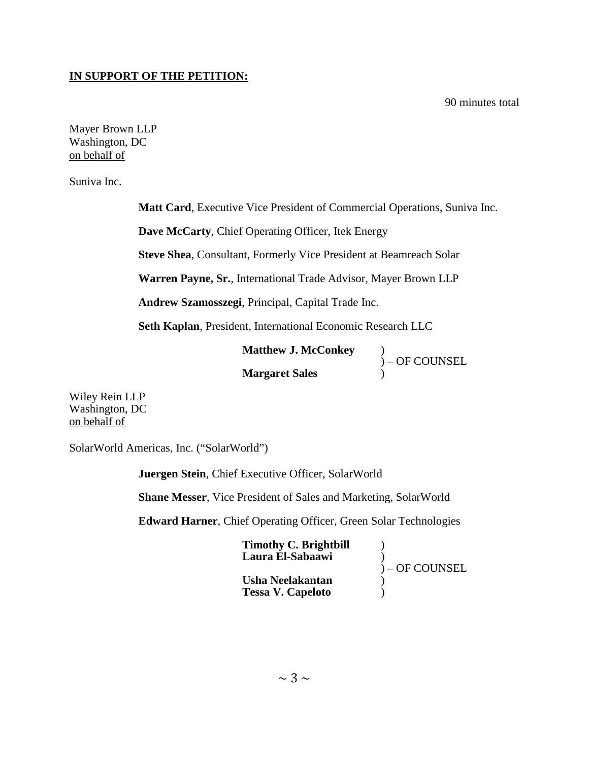#### **IN SUPPORT OF THE PETITION:**

90 minutes total

Mayer Brown LLP Washington, DC on behalf of

Suniva Inc.

**Matt Card**, Executive Vice President of Commercial Operations, Suniva Inc.

**Dave McCarty**, Chief Operating Officer, Itek Energy

**Steve Shea**, Consultant, Formerly Vice President at Beamreach Solar

**Warren Payne, Sr.**, International Trade Advisor, Mayer Brown LLP

**Andrew Szamosszegi**, Principal, Capital Trade Inc.

**Seth Kaplan**, President, International Economic Research LLC

**Matthew J. McConkey** )

**Margaret Sales** )

 $) -$  OF COUNSEL

Wiley Rein LLP Washington, DC on behalf of

SolarWorld Americas, Inc. ("SolarWorld")

**Juergen Stein**, Chief Executive Officer, SolarWorld

**Shane Messer**, Vice President of Sales and Marketing, SolarWorld

**Edward Harner**, Chief Operating Officer, Green Solar Technologies

| <b>Timothy C. Brightbill</b><br>Laura El-Sabaawi | ) – OF COUNSEL |
|--------------------------------------------------|----------------|
| Usha Neelakantan<br><b>Tessa V. Capeloto</b>     |                |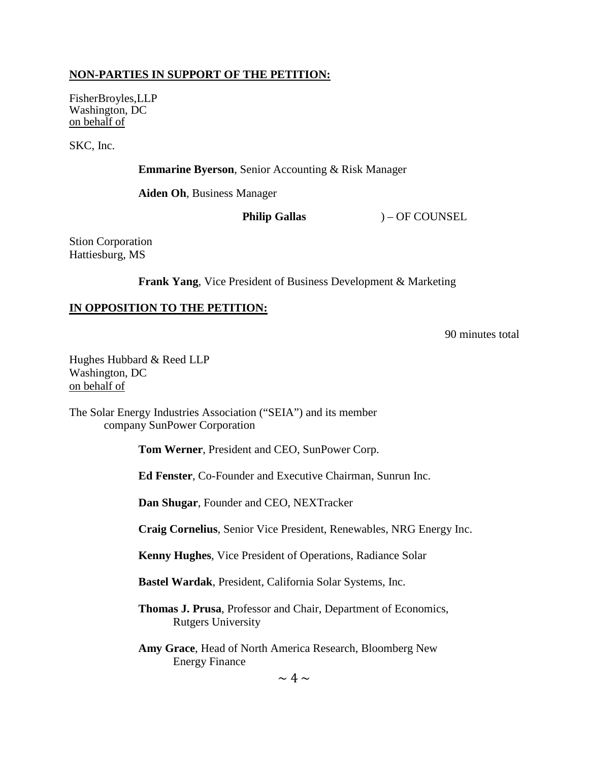#### **NON-PARTIES IN SUPPORT OF THE PETITION:**

FisherBroyles,LLP Washington, DC on behalf of

SKC, Inc.

**Emmarine Byerson**, Senior Accounting & Risk Manager

**Aiden Oh**, Business Manager

**Philip Gallas** ) – OF COUNSEL

Stion Corporation Hattiesburg, MS

**Frank Yang**, Vice President of Business Development & Marketing

#### **IN OPPOSITION TO THE PETITION:**

90 minutes total

Hughes Hubbard & Reed LLP Washington, DC on behalf of

The Solar Energy Industries Association ("SEIA") and its member company SunPower Corporation

**Tom Werner**, President and CEO, SunPower Corp.

**Ed Fenster**, Co-Founder and Executive Chairman, Sunrun Inc.

**Dan Shugar**, Founder and CEO, NEXTracker

**Craig Cornelius**, Senior Vice President, Renewables, NRG Energy Inc.

**Kenny Hughes**, Vice President of Operations, Radiance Solar

**Bastel Wardak**, President, California Solar Systems, Inc.

**Thomas J. Prusa**, Professor and Chair, Department of Economics, Rutgers University

**Amy Grace**, Head of North America Research, Bloomberg New Energy Finance

 $\sim 4 \sim$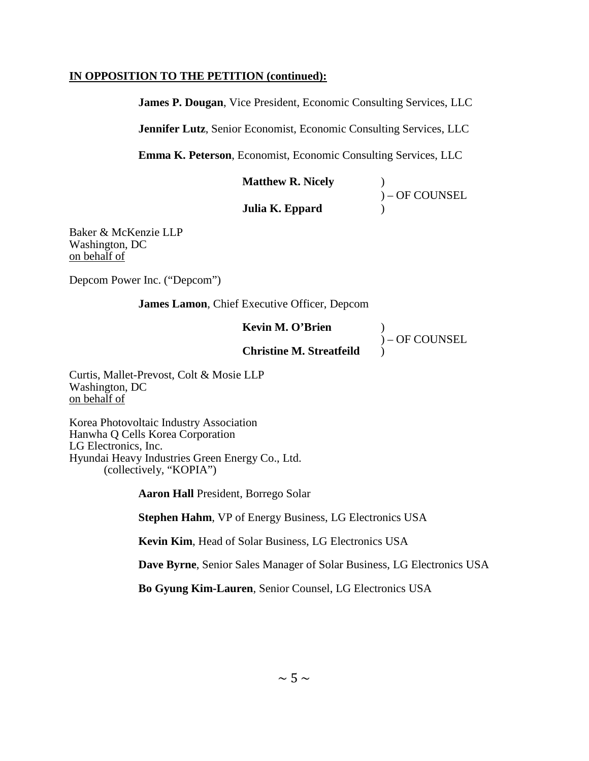#### **IN OPPOSITION TO THE PETITION (continued):**

**James P. Dougan**, Vice President, Economic Consulting Services, LLC

**Jennifer Lutz**, Senior Economist, Economic Consulting Services, LLC

**Emma K. Peterson**, Economist, Economic Consulting Services, LLC

**Matthew R. Nicely** )

 $\int$ ) – OF COUNSEL<br>

**Julia K. Eppard** )

Baker & McKenzie LLP Washington, DC on behalf of

Depcom Power Inc. ("Depcom")

**James Lamon**, Chief Executive Officer, Depcom

**Kevin M. O'Brien** )

 $)$  – OF COUNSEL

**Christine M. Streatfeild** )

Curtis, Mallet-Prevost, Colt & Mosie LLP Washington, DC on behalf of

Korea Photovoltaic Industry Association Hanwha Q Cells Korea Corporation LG Electronics, Inc. Hyundai Heavy Industries Green Energy Co., Ltd. (collectively, "KOPIA")

**Aaron Hall** President, Borrego Solar

**Stephen Hahm**, VP of Energy Business, LG Electronics USA

**Kevin Kim**, Head of Solar Business, LG Electronics USA

**Dave Byrne**, Senior Sales Manager of Solar Business, LG Electronics USA

**Bo Gyung Kim-Lauren**, Senior Counsel, LG Electronics USA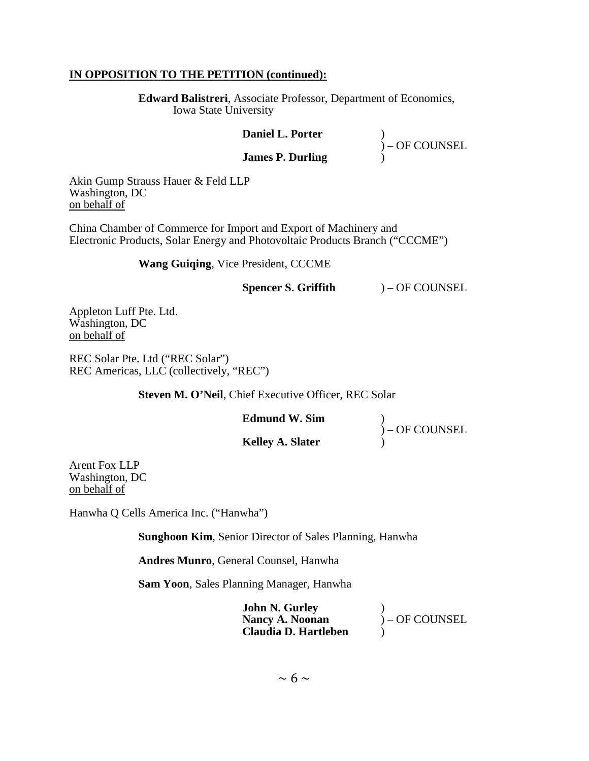#### **IN OPPOSITION TO THE PETITION (continued):**

**Edward Balistreri**, Associate Professor, Department of Economics, Iowa State University

#### **Daniel L. Porter** )

 $\int$  – OF COUNSEL

#### **James P. Durling** )

Akin Gump Strauss Hauer & Feld LLP Washington, DC on behalf of

China Chamber of Commerce for Import and Export of Machinery and Electronic Products, Solar Energy and Photovoltaic Products Branch ("CCCME")

**Wang Guiqing**, Vice President, CCCME

#### **Spencer S. Griffith** ) – OF COUNSEL

Appleton Luff Pte. Ltd. Washington, DC on behalf of

REC Solar Pte. Ltd ("REC Solar") REC Americas, LLC (collectively, "REC")

#### **Steven M. O'Neil, Chief Executive Officer, REC Solar**

**Edmund W. Sim** )

**Kelley A. Slater** )

 $\int$  – OF COUNSEL

Arent Fox LLP Washington, DC on behalf of

Hanwha Q Cells America Inc. ("Hanwha")

**Sunghoon Kim**, Senior Director of Sales Planning, Hanwha

**Andres Munro**, General Counsel, Hanwha

**Sam Yoon**, Sales Planning Manager, Hanwha

**John N. Gurley<br>Nancy A. Noonan Nancy A. Noonan** ) – OF COUNSEL **Claudia D. Hartleben** )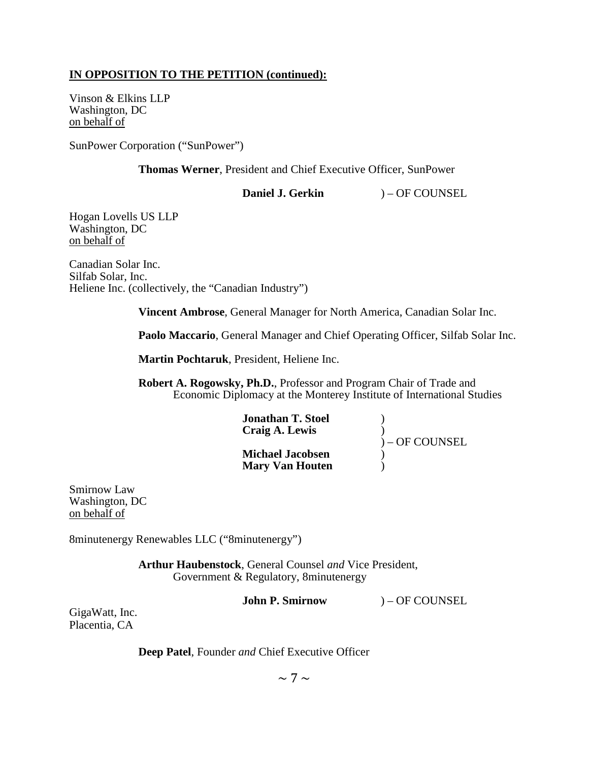#### **IN OPPOSITION TO THE PETITION (continued):**

Vinson & Elkins LLP Washington, DC on behalf of

SunPower Corporation ("SunPower")

**Thomas Werner**, President and Chief Executive Officer, SunPower

**Daniel J. Gerkin** ) – OF COUNSEL

Hogan Lovells US LLP Washington, DC on behalf of

Canadian Solar Inc. Silfab Solar, Inc. Heliene Inc. (collectively, the "Canadian Industry")

**Vincent Ambrose**, General Manager for North America, Canadian Solar Inc.

**Paolo Maccario**, General Manager and Chief Operating Officer, Silfab Solar Inc.

**Martin Pochtaruk**, President, Heliene Inc.

**Robert A. Rogowsky, Ph.D.**, Professor and Program Chair of Trade and Economic Diplomacy at the Monterey Institute of International Studies

| <b>Jonathan T. Stoel</b> |                 |
|--------------------------|-----------------|
| Craig A. Lewis           |                 |
|                          | $)-$ OF COUNSEL |
| <b>Michael Jacobsen</b>  |                 |
| <b>Mary Van Houten</b>   |                 |

Smirnow Law Washington, DC on behalf of

8minutenergy Renewables LLC ("8minutenergy")

**Arthur Haubenstock**, General Counsel *and* Vice President, Government & Regulatory, 8minutenergy

**John P. Smirnow** ) – OF COUNSEL

GigaWatt, Inc. Placentia, CA

**Deep Patel**, Founder *and* Chief Executive Officer